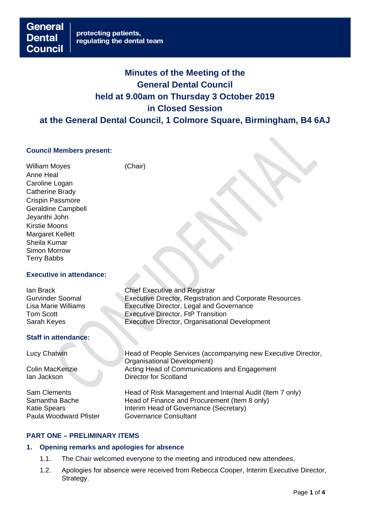# **Minutes of the Meeting of the General Dental Council held at 9.00am on Thursday 3 October 2019 in Closed Session**

## **at the General Dental Council, 1 Colmore Square, Birmingham, B4 6AJ**

#### **Council Members present:**

**General** 

**Council** 

**Dental** 

William Moyes (Chair) Anne Heal Caroline Logan Catherine Brady Crispin Passmore Geraldine Campbell Jeyanthi John Kirstie Moons Margaret Kellett Sheila Kumar Simon Morrow Terry Babbs

#### **Executive in attendance:**

| lan Brack               | <b>Chief Executive and Registrar</b>                     |
|-------------------------|----------------------------------------------------------|
| <b>Gurvinder Soomal</b> | Executive Director, Registration and Corporate Resources |
| Lisa Marie Williams     | Executive Director, Legal and Governance                 |
| Tom Scott               | <b>Executive Director, FtP Transition</b>                |
| Sarah Keyes             | Executive Director, Organisational Development           |
|                         |                                                          |

#### **Staff in attendance:**

Ian Jackson Director for Scotland

Paula Woodward Pfister **Governance Consultant** 

Lucy Chatwin Head of People Services (accompanying new Executive Director, Organisational Development) Colin MacKenzie Acting Head of Communications and Engagement

Sam Clements Head of Risk Management and Internal Audit (Item 7 only) Samantha Bache Head of Finance and Procurement (Item 8 only)<br>Katie Spears Head of Governance (Secretary) Interim Head of Governance (Secretary)

## **PART ONE – PRELIMINARY ITEMS**

#### **1. Opening remarks and apologies for absence**

- 1.1. The Chair welcomed everyone to the meeting and introduced new attendees.
- 1.2. Apologies for absence were received from Rebecca Cooper, Interim Executive Director, Strategy.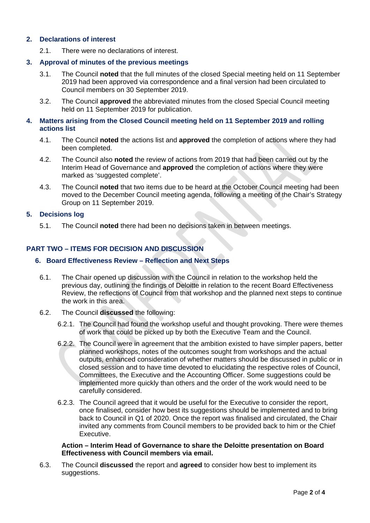#### **2. Declarations of interest**

2.1. There were no declarations of interest.

#### **3. Approval of minutes of the previous meetings**

- 3.1. The Council **noted** that the full minutes of the closed Special meeting held on 11 September 2019 had been approved via correspondence and a final version had been circulated to Council members on 30 September 2019.
- 3.2. The Council **approved** the abbreviated minutes from the closed Special Council meeting held on 11 September 2019 for publication.

#### **4. Matters arising from the Closed Council meeting held on 11 September 2019 and rolling actions list**

- 4.1. The Council **noted** the actions list and **approved** the completion of actions where they had been completed.
- 4.2. The Council also **noted** the review of actions from 2019 that had been carried out by the Interim Head of Governance and **approved** the completion of actions where they were marked as 'suggested complete'.
- 4.3. The Council **noted** that two items due to be heard at the October Council meeting had been moved to the December Council meeting agenda, following a meeting of the Chair's Strategy Group on 11 September 2019.

#### **5. Decisions log**

5.1. The Council **noted** there had been no decisions taken in between meetings.

## **PART TWO – ITEMS FOR DECISION AND DISCUSSION**

#### **6. Board Effectiveness Review – Reflection and Next Steps**

- 6.1. The Chair opened up discussion with the Council in relation to the workshop held the previous day, outlining the findings of Deloitte in relation to the recent Board Effectiveness Review, the reflections of Council from that workshop and the planned next steps to continue the work in this area.
- 6.2. The Council **discussed** the following:
	- 6.2.1. The Council had found the workshop useful and thought provoking. There were themes of work that could be picked up by both the Executive Team and the Council.
	- 6.2.2. The Council were in agreement that the ambition existed to have simpler papers, better planned workshops, notes of the outcomes sought from workshops and the actual outputs, enhanced consideration of whether matters should be discussed in public or in closed session and to have time devoted to elucidating the respective roles of Council, Committees, the Executive and the Accounting Officer. Some suggestions could be implemented more quickly than others and the order of the work would need to be carefully considered.
	- 6.2.3. The Council agreed that it would be useful for the Executive to consider the report, once finalised, consider how best its suggestions should be implemented and to bring back to Council in Q1 of 2020. Once the report was finalised and circulated, the Chair invited any comments from Council members to be provided back to him or the Chief Executive.

#### **Action – Interim Head of Governance to share the Deloitte presentation on Board Effectiveness with Council members via email.**

6.3. The Council **discussed** the report and **agreed** to consider how best to implement its suggestions.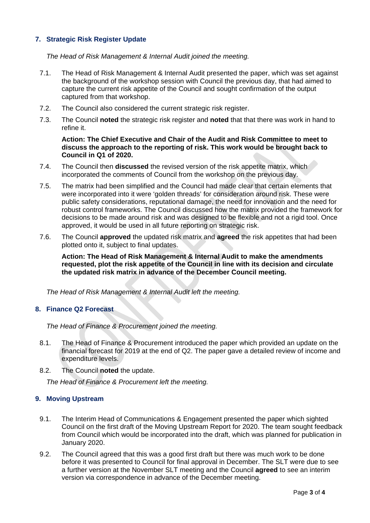## **7. Strategic Risk Register Update**

*The Head of Risk Management & Internal Audit joined the meeting.*

- 7.1. The Head of Risk Management & Internal Audit presented the paper, which was set against the background of the workshop session with Council the previous day, that had aimed to capture the current risk appetite of the Council and sought confirmation of the output captured from that workshop.
- 7.2. The Council also considered the current strategic risk register.
- 7.3. The Council **noted** the strategic risk register and **noted** that that there was work in hand to refine it.

#### **Action: The Chief Executive and Chair of the Audit and Risk Committee to meet to discuss the approach to the reporting of risk. This work would be brought back to Council in Q1 of 2020.**

- 7.4. The Council then **discussed** the revised version of the risk appetite matrix, which incorporated the comments of Council from the workshop on the previous day.
- 7.5. The matrix had been simplified and the Council had made clear that certain elements that were incorporated into it were 'golden threads' for consideration around risk. These were public safety considerations, reputational damage, the need for innovation and the need for robust control frameworks. The Council discussed how the matrix provided the framework for decisions to be made around risk and was designed to be flexible and not a rigid tool. Once approved, it would be used in all future reporting on strategic risk.
- 7.6. The Council **approved** the updated risk matrix and **agreed** the risk appetites that had been plotted onto it, subject to final updates.

**Action: The Head of Risk Management & Internal Audit to make the amendments requested, plot the risk appetite of the Council in line with its decision and circulate the updated risk matrix in advance of the December Council meeting.**

*The Head of Risk Management & Internal Audit left the meeting.*

#### **8. Finance Q2 Forecast**

*The Head of Finance & Procurement joined the meeting.*

- 8.1. The Head of Finance & Procurement introduced the paper which provided an update on the financial forecast for 2019 at the end of Q2. The paper gave a detailed review of income and expenditure levels.
- 8.2. The Council **noted** the update.

*The Head of Finance & Procurement left the meeting.*

#### **9. Moving Upstream**

- 9.1. The Interim Head of Communications & Engagement presented the paper which sighted Council on the first draft of the Moving Upstream Report for 2020. The team sought feedback from Council which would be incorporated into the draft, which was planned for publication in January 2020.
- 9.2. The Council agreed that this was a good first draft but there was much work to be done before it was presented to Council for final approval in December. The SLT were due to see a further version at the November SLT meeting and the Council **agreed** to see an interim version via correspondence in advance of the December meeting.